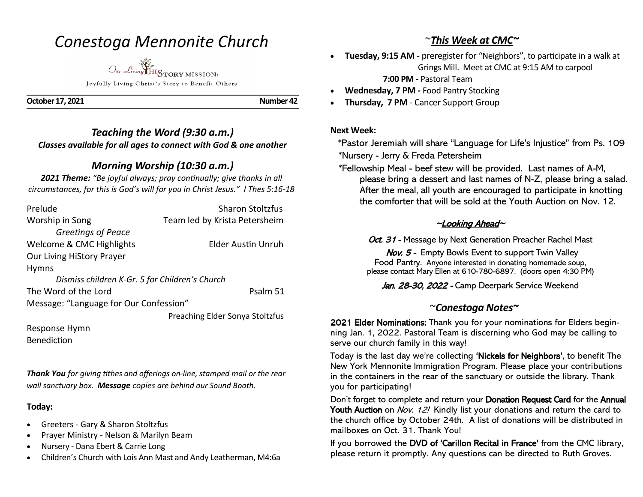# *Conestoga Mennonite Church*

*Our Living* HISTORY MISSION: Joyfully Living Christ's Story to Benefit Others

**October 17, 2021** Number 42

*Teaching the Word (9:30 a.m.) Classes available for all ages to connect with God & one another* 

### *Morning Worship (10:30 a.m.)*

*2021 Theme: "Be joyful always; pray continually; give thanks in all circumstances, for this is God's will for you in Christ Jesus." I Thes 5:16-18*

| Prelude                                        | <b>Sharon Stoltzfus</b>         |
|------------------------------------------------|---------------------------------|
| Worship in Song                                | Team led by Krista Petersheim   |
| Greetings of Peace                             |                                 |
| Welcome & CMC Highlights                       | <b>Elder Austin Unruh</b>       |
| Our Living HiStory Prayer                      |                                 |
| <b>Hymns</b>                                   |                                 |
| Dismiss children K-Gr. 5 for Children's Church |                                 |
| The Word of the Lord                           | Psalm 51                        |
| Message: "Language for Our Confession"         |                                 |
|                                                | Preaching Elder Sonya Stoltzfus |

Response Hymn Benediction

*Thank You for giving tithes and offerings on-line, stamped mail or the rear wall sanctuary box. Message copies are behind our Sound Booth.*

#### **Today:**

- Greeters Gary & Sharon Stoltzfus
- Prayer Ministry Nelson & Marilyn Beam
- Nursery Dana Ebert & Carrie Long
- Children's Church with Lois Ann Mast and Andy Leatherman, M4:6a

# ~*This Week at CMC~*

- **Tuesday, 9:15 AM -** preregister for "Neighbors", to participate in a walk at Grings Mill. Meet at CMC at 9:15 AM to carpool  **7:00 PM -** Pastoral Team
- **Wednesday, 7 PM -** Food Pantry Stocking
- **Thursday, 7 PM**  Cancer Support Group

#### **Next Week:**

 \*Pastor Jeremiah will share "Language for Life's Injustice" from Ps. 109 \*Nursery - Jerry & Freda Petersheim

 \*Fellowship Meal - beef stew will be provided. Last names of A-M, please bring a dessert and last names of N-Z, please bring a salad. After the meal, all youth are encouraged to participate in knotting the comforter that will be sold at the Youth Auction on Nov. 12.

### ~Looking Ahead~

Oct. 31 - Message by Next Generation Preacher Rachel Mast

Nov. 5 - Empty Bowls Event to support Twin Valley Food Pantry. Anyone interested in donating homemade soup, please contact Mary Ellen at 610-780-6897. (doors open 4:30 PM)

Jan. 28-30, 2022 - Camp Deerpark Service Weekend

# ~*Conestoga Notes~*

2021 Elder Nominations: Thank you for your nominations for Elders beginning Jan. 1, 2022. Pastoral Team is discerning who God may be calling to serve our church family in this way!

Today is the last day we're collecting 'Nickels for Neighbors', to benefit The New York Mennonite Immigration Program. Please place your contributions in the containers in the rear of the sanctuary or outside the library. Thank you for participating!

Don't forget to complete and return your Donation Request Card for the Annual Youth Auction on Nov. 12! Kindly list your donations and return the card to the church office by October 24th. A list of donations will be distributed in mailboxes on Oct. 31. Thank You!

If you borrowed the DVD of 'Carillon Recital in France' from the CMC library, please return it promptly. Any questions can be directed to Ruth Groves.